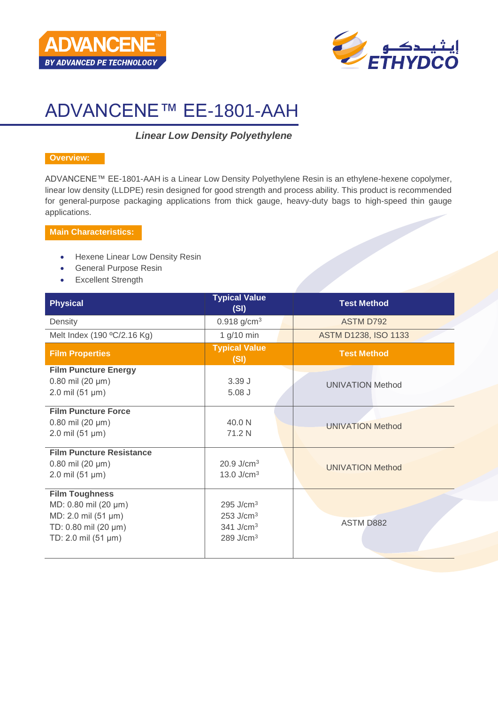



# ADVANCENE™ EE-1801-AAH

# *Linear Low Density Polyethylene*

#### **Overview:**

ADVANCENE™ EE-1801-AAH is a Linear Low Density Polyethylene Resin is an ethylene-hexene copolymer, linear low density (LLDPE) resin designed for good strength and process ability. This product is recommended for general-purpose packaging applications from thick gauge, heavy-duty bags to high-speed thin gauge applications.

## **Main Characteristics:**

- Hexene Linear Low Density Resin
- General Purpose Resin
- Excellent Strength

| <b>Physical</b>                                                                                                     | <b>Typical Value</b><br>(SI)                                                                             | <b>Test Method</b>          |
|---------------------------------------------------------------------------------------------------------------------|----------------------------------------------------------------------------------------------------------|-----------------------------|
| Density                                                                                                             | $0.918$ g/cm <sup>3</sup>                                                                                | <b>ASTM D792</b>            |
| Melt Index (190 °C/2.16 Kg)                                                                                         | 1 $g/10$ min                                                                                             | <b>ASTM D1238, ISO 1133</b> |
| <b>Film Properties</b>                                                                                              | <b>Typical Value</b><br>(SI)                                                                             | <b>Test Method</b>          |
| <b>Film Puncture Energy</b><br>$0.80$ mil (20 µm)<br>$2.0 \text{ mil} (51 \text{ µm})$                              | 3.39J<br>$5.08$ $J$                                                                                      | <b>UNIVATION Method</b>     |
| <b>Film Puncture Force</b><br>$0.80$ mil (20 µm)<br>$2.0 \text{ mil} (51 \text{ µm})$                               | 40.0 N<br>71.2 N                                                                                         | <b>UNIVATION Method</b>     |
| <b>Film Puncture Resistance</b><br>$0.80$ mil (20 µm)<br>$2.0 \text{ mil} (51 \text{ µm})$                          | $20.9$ J/cm <sup>3</sup><br>13.0 $J/cm3$                                                                 | <b>UNIVATION Method</b>     |
| <b>Film Toughness</b><br>MD: 0.80 mil (20 µm)<br>MD: 2.0 mil (51 µm)<br>TD: 0.80 mil (20 µm)<br>TD: 2.0 mil (51 µm) | $295$ J/cm <sup>3</sup><br>$253$ J/cm <sup>3</sup><br>$341$ J/cm <sup>3</sup><br>$289$ J/cm <sup>3</sup> | <b>ASTM D882</b>            |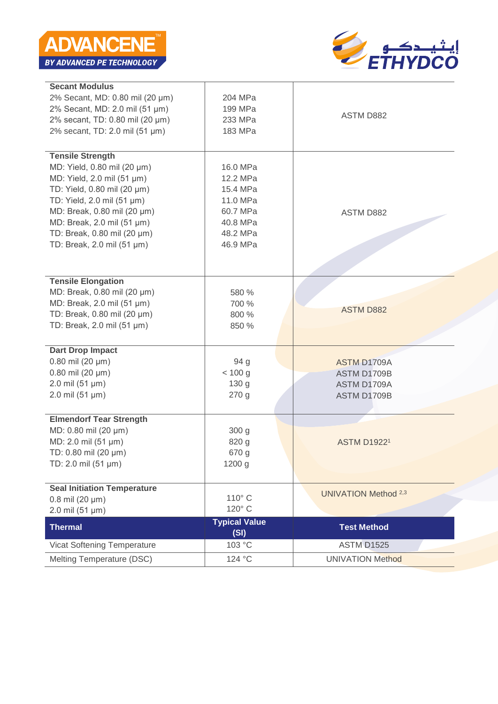

| <b>Secant Modulus</b>              |                              |                             |
|------------------------------------|------------------------------|-----------------------------|
| 2% Secant, MD: 0.80 mil (20 µm)    | 204 MPa                      |                             |
| 2% Secant, MD: 2.0 mil (51 µm)     | 199 MPa                      |                             |
| 2% secant, TD: 0.80 mil (20 µm)    | 233 MPa                      | ASTM D882                   |
| 2% secant, TD: 2.0 mil (51 µm)     | 183 MPa                      |                             |
|                                    |                              |                             |
| <b>Tensile Strength</b>            |                              |                             |
| MD: Yield, 0.80 mil (20 µm)        | 16.0 MPa                     |                             |
| MD: Yield, 2.0 mil (51 µm)         | 12.2 MPa                     |                             |
| TD: Yield, 0.80 mil (20 µm)        | 15.4 MPa                     |                             |
| TD: Yield, 2.0 mil (51 µm)         | 11.0 MPa                     |                             |
| MD: Break, 0.80 mil (20 µm)        | 60.7 MPa                     | ASTM D882                   |
| MD: Break, 2.0 mil (51 µm)         | 40.8 MPa                     |                             |
| TD: Break, 0.80 mil (20 µm)        | 48.2 MPa                     |                             |
| TD: Break, 2.0 mil (51 µm)         | 46.9 MPa                     |                             |
|                                    |                              |                             |
|                                    |                              |                             |
| <b>Tensile Elongation</b>          |                              |                             |
| MD: Break, 0.80 mil (20 µm)        | 580 %                        |                             |
| MD: Break, 2.0 mil (51 µm)         | 700 %                        | <b>ASTM D882</b>            |
| TD: Break, 0.80 mil (20 µm)        | 800 %                        |                             |
| TD: Break, 2.0 mil (51 µm)         | 850 %                        |                             |
| <b>Dart Drop Impact</b>            |                              |                             |
| $0.80$ mil (20 µm)                 | 94 <sub>g</sub>              | <b>ASTM D1709A</b>          |
| $0.80$ mil (20 µm)                 | < 100 g                      | ASTM D1709B                 |
| $2.0$ mil (51 µm)                  | 130 g                        | ASTM D1709A                 |
| $2.0$ mil (51 µm)                  | 270 g                        | ASTM D1709B                 |
|                                    |                              |                             |
| <b>Elmendorf Tear Strength</b>     |                              |                             |
| MD: 0.80 mil (20 µm)               | 300 g                        |                             |
| MD: 2.0 mil (51 µm)                | 820 g                        | <b>ASTM D19221</b>          |
| TD: 0.80 mil (20 µm)               | 670 g                        |                             |
| TD: 2.0 mil (51 µm)                | 1200 g                       |                             |
|                                    |                              |                             |
| <b>Seal Initiation Temperature</b> |                              | <b>UNIVATION Method 2,3</b> |
| $0.8$ mil (20 $\mu$ m)             | 110° C                       |                             |
| 2.0 mil (51 µm)                    | 120° C                       |                             |
| <b>Thermal</b>                     | <b>Typical Value</b><br>(SI) | <b>Test Method</b>          |
| Vicat Softening Temperature        | 103 °C                       | <b>ASTM D1525</b>           |
| Melting Temperature (DSC)          | 124 °C                       | <b>UNIVATION Method</b>     |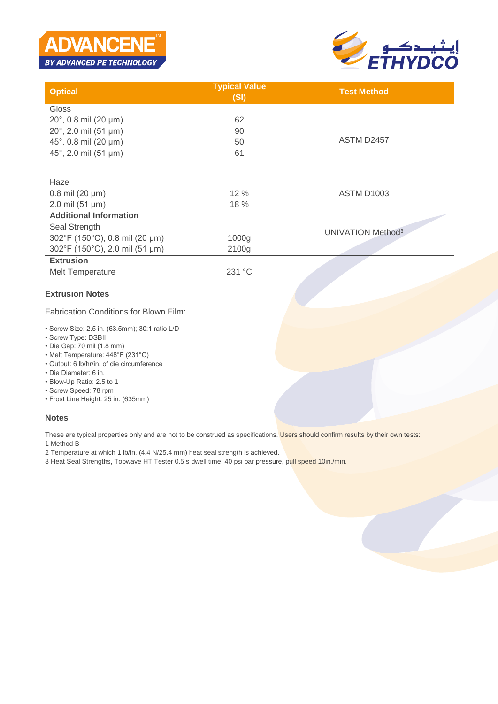



| <b>Optical</b>                 | <b>Typical Value</b><br>(SI) | <b>Test Method</b>            |
|--------------------------------|------------------------------|-------------------------------|
| Gloss                          |                              |                               |
| $20^{\circ}$ , 0.8 mil (20 µm) | 62                           |                               |
| $20^{\circ}$ , 2.0 mil (51 µm) | 90                           |                               |
| 45°, 0.8 mil (20 $\mu$ m)      | 50                           | <b>ASTM D2457</b>             |
| 45°, 2.0 mil (51 µm)           | 61                           |                               |
|                                |                              |                               |
| Haze                           |                              |                               |
| $0.8$ mil (20 $\mu$ m)         | 12 %                         | <b>ASTM D1003</b>             |
| $2.0$ mil (51 µm)              | 18 %                         |                               |
| <b>Additional Information</b>  |                              |                               |
| Seal Strength                  |                              |                               |
| 302°F (150°C), 0.8 mil (20 µm) | 1000g                        | UNIVATION Method <sup>3</sup> |
| 302°F (150°C), 2.0 mil (51 µm) | 2100g                        |                               |
| <b>Extrusion</b>               |                              |                               |
| Melt Temperature               | 231 °C                       |                               |

#### **Extrusion Notes**

Fabrication Conditions for Blown Film:

- Screw Size: 2.5 in. (63.5mm); 30:1 ratio L/D
- Screw Type: DSBII
- Die Gap: 70 mil (1.8 mm)
- Melt Temperature: 448°F (231°C)
- Output: 6 lb/hr/in. of die circumference
- Die Diameter: 6 in.
- Blow-Up Ratio: 2.5 to 1
- Screw Speed: 78 rpm
- Frost Line Height: 25 in. (635mm)

#### **Notes**

These are typical properties only and are not to be construed as specifications. Users should confirm results by their own tests:

1 Method B

- 2 Temperature at which 1 lb/in. (4.4 N/25.4 mm) heat seal strength is achieved.
- 3 Heat Seal Strengths, Topwave HT Tester 0.5 s dwell time, 40 psi bar pressure, pull speed 10in./min.